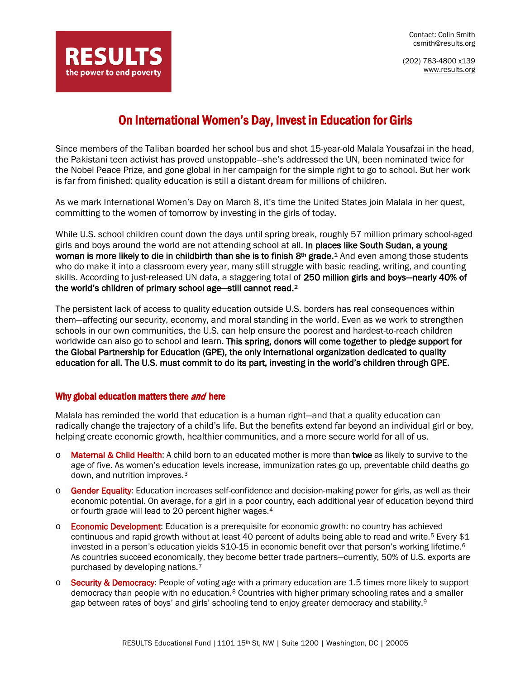Contact: Colin Smith csmith@results.org

(202) 783-4800 x139 [www.results.org](http://www.results.org/)



# On International Women's Day, Invest in Education for Girls

 Since members of the Taliban boarded her school bus and shot 15-year-old Malala Yousafzai in the head, the Pakistani teen activist has proved unstoppable—she's addressed the UN, been nominated twice for the Nobel Peace Prize, and gone global in her campaign for the simple right to go to school. But her work is far from finished: quality education is still a distant dream for millions of children.

As we mark International Women's Day on March 8, it's time the United States join Malala in her quest, committing to the women of tomorrow by investing in the girls of today.

While U.S. school children count down the days until spring break, roughly 57 million primary school-aged girls and boys around the world are not attending school at all. In places like South Sudan, a young woman is more likely to die in childbirth than she is to finish 8<sup>th</sup> grade.<sup>[1](#page-1-0)</sup> And even among those students who do make it into a classroom every year, many still struggle with basic reading, writing, and counting skills. According to just-released UN data, a staggering total of 250 million girls and boys—nearly 40% of the world's children of primary school age—still cannot read.[2](#page-1-1)

The persistent lack of access to quality education outside U.S. borders has real consequences within them—affecting our security, economy, and moral standing in the world. Even as we work to strengthen schools in our own communities, the U.S. can help ensure the poorest and hardest-to-reach children worldwide can also go to school and learn. This spring, donors will come together to pledge support for the Global Partnership for Education (GPE), the only international organization dedicated to quality education for all. The U.S. must commit to do its part, investing in the world's children through GPE.

## Why global education matters there *and* here

Malala has reminded the world that education is a human right—and that a quality education can radically change the trajectory of a child's life. But the benefits extend far beyond an individual girl or boy, helping create economic growth, healthier communities, and a more secure world for all of us.

- o Maternal & Child Health: A child born to an educated mother is more than twice as likely to survive to the age of five. As women's education levels increase, immunization rates go up, preventable child deaths go down, and nutrition improves.[3](#page-1-2)
- o Gender Equality: Education increases self-confidence and decision-making power for girls, as well as their economic potential. On average, for a girl in a poor country, each additional year of education beyond third or fourth grade will lead to 20 percent higher wages.[4](#page-1-3)
- o Economic Development: Education is a prerequisite for economic growth: no country has achieved continuous and rapid growth without at least 40 percent of adults being able to read and write.<sup>[5](#page-1-4)</sup> Every \$1 invested in a person's education yields \$10-15 in economic benefit over that person's working lifetime.<sup>[6](#page-1-5)</sup> As countries succeed economically, they become better trade partners—currently, 50% of U.S. exports are purchased by developing nations.[7](#page-1-6)
- $\circ$  Security & Democracy: People of voting age with a primary education are 1.5 times more likely to support democracy than people with no education.<sup>[8](#page-1-7)</sup> Countries with higher primary schooling rates and a smaller gap between rates of boys' and girls' schooling tend to enjoy greater democracy and stability.<sup>[9](#page-1-8)</sup>